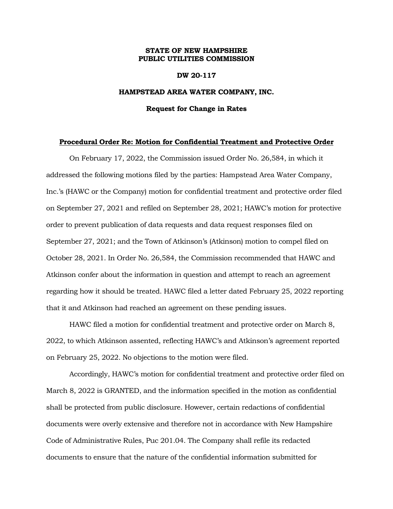# **STATE OF NEW HAMPSHIRE PUBLIC UTILITIES COMMISSION**

## **DW 20-117**

## **HAMPSTEAD AREA WATER COMPANY, INC.**

#### **Request for Change in Rates**

## **Procedural Order Re: Motion for Confidential Treatment and Protective Order**

On February 17, 2022, the Commission issued Order No. 26,584, in which it addressed the following motions filed by the parties: Hampstead Area Water Company, Inc.'s (HAWC or the Company) motion for confidential treatment and protective order filed on September 27, 2021 and refiled on September 28, 2021; HAWC's motion for protective order to prevent publication of data requests and data request responses filed on September 27, 2021; and the Town of Atkinson's (Atkinson) motion to compel filed on October 28, 2021. In Order No. 26,584, the Commission recommended that HAWC and Atkinson confer about the information in question and attempt to reach an agreement regarding how it should be treated. HAWC filed a letter dated February 25, 2022 reporting that it and Atkinson had reached an agreement on these pending issues.

HAWC filed a motion for confidential treatment and protective order on March 8, 2022, to which Atkinson assented, reflecting HAWC's and Atkinson's agreement reported on February 25, 2022. No objections to the motion were filed.

Accordingly, HAWC's motion for confidential treatment and protective order filed on March 8, 2022 is GRANTED, and the information specified in the motion as confidential shall be protected from public disclosure. However, certain redactions of confidential documents were overly extensive and therefore not in accordance with New Hampshire Code of Administrative Rules, Puc 201.04. The Company shall refile its redacted documents to ensure that the nature of the confidential information submitted for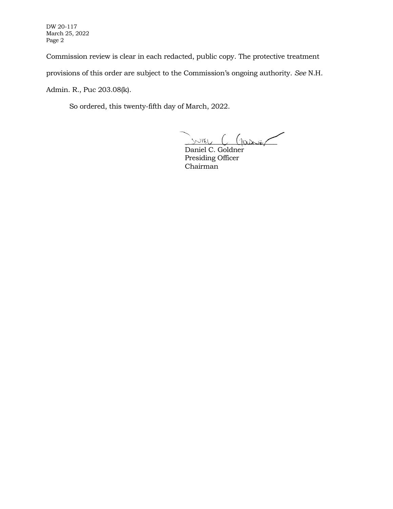DW 20-117 March 25, 2022 Page 2

Commission review is clear in each redacted, public copy. The protective treatment

provisions of this order are subject to the Commission's ongoing authority. *See* N.H.

Admin. R., Puc 203.08(k).

So ordered, this twenty-fifth day of March, 2022.

 $m_{\text{E}}$  (paris

Daniel C. Goldner Presiding Officer Chairman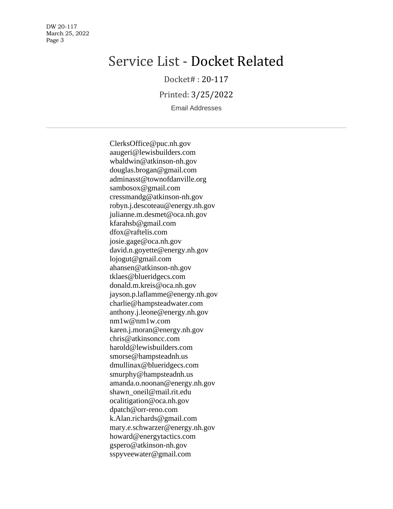DW 20-117 March 25, 2022 Page 3

# Service List - Docket Related

Docket# : 20-117

Printed: 3/25/2022

Email Addresses

ClerksOffice@puc.nh.gov aaugeri@lewisbuilders.com wbaldwin@atkinson-nh.gov douglas.brogan@gmail.com adminasst@townofdanville.org sambosox@gmail.com cressmandg@atkinson-nh.gov robyn.j.descoteau@energy.nh.gov julianne.m.desmet@oca.nh.gov kfarahsb@gmail.com dfox@raftelis.com josie.gage@oca.nh.gov david.n.goyette@energy.nh.gov lojogut@gmail.com ahansen@atkinson-nh.gov tklaes@blueridgecs.com donald.m.kreis@oca.nh.gov jayson.p.laflamme@energy.nh.gov charlie@hampsteadwater.com anthony.j.leone@energy.nh.gov nm1w@nm1w.com karen.j.moran@energy.nh.gov chris@atkinsoncc.com harold@lewisbuilders.com smorse@hampsteadnh.us dmullinax@blueridgecs.com smurphy@hampsteadnh.us amanda.o.noonan@energy.nh.gov shawn\_oneil@mail.rit.edu ocalitigation@oca.nh.gov dpatch@orr-reno.com k.Alan.richards@gmail.com mary.e.schwarzer@energy.nh.gov howard@energytactics.com gspero@atkinson-nh.gov sspyveewater@gmail.com